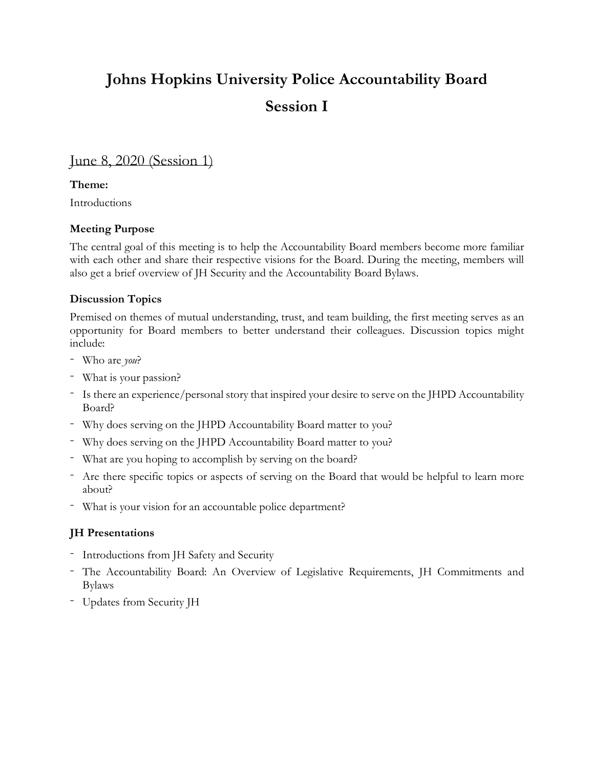# **Johns Hopkins University Police Accountability Board Session I**

## June 8, 2020 (Session 1)

### **Theme:**

Introductions

### **Meeting Purpose**

The central goal of this meeting is to help the Accountability Board members become more familiar with each other and share their respective visions for the Board. During the meeting, members will also get a brief overview of JH Security and the Accountability Board Bylaws.

#### **Discussion Topics**

Premised on themes of mutual understanding, trust, and team building, the first meeting serves as an opportunity for Board members to better understand their colleagues. Discussion topics might include:

- Who are *you*?
- What is your passion?
- Is there an experience/personal story that inspired your desire to serve on the JHPD Accountability Board?
- Why does serving on the JHPD Accountability Board matter to you?
- Why does serving on the JHPD Accountability Board matter to you?
- What are you hoping to accomplish by serving on the board?
- Are there specific topics or aspects of serving on the Board that would be helpful to learn more about?
- What is your vision for an accountable police department?

### **JH Presentations**

- Introductions from JH Safety and Security
- The Accountability Board: An Overview of Legislative Requirements, JH Commitments and Bylaws
- Updates from Security JH